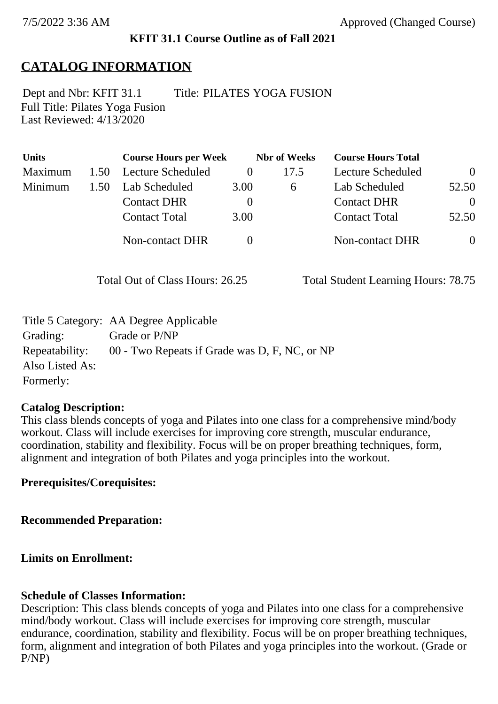### **KFIT 31.1 Course Outline as of Fall 2021**

## **CATALOG INFORMATION**

Full Title: Pilates Yoga Fusion Last Reviewed: 4/13/2020 Dept and Nbr: KFIT 31.1 Title: PILATES YOGA FUSION

| <b>Units</b> |      | <b>Course Hours per Week</b> | <b>Nbr</b> of Weeks |      | <b>Course Hours Total</b> |                |
|--------------|------|------------------------------|---------------------|------|---------------------------|----------------|
| Maximum      | 1.50 | Lecture Scheduled            | $\theta$            | 17.5 | Lecture Scheduled         | $\overline{0}$ |
| Minimum      | 1.50 | Lab Scheduled                | 3.00                | 6    | Lab Scheduled             | 52.50          |
|              |      | <b>Contact DHR</b>           | $\theta$            |      | <b>Contact DHR</b>        | $\theta$       |
|              |      | <b>Contact Total</b>         | 3.00                |      | <b>Contact Total</b>      | 52.50          |
|              |      | <b>Non-contact DHR</b>       |                     |      | <b>Non-contact DHR</b>    | $\overline{0}$ |

Total Out of Class Hours: 26.25 Total Student Learning Hours: 78.75

|                 | Title 5 Category: AA Degree Applicable        |
|-----------------|-----------------------------------------------|
| Grading:        | Grade or P/NP                                 |
| Repeatability:  | 00 - Two Repeats if Grade was D, F, NC, or NP |
| Also Listed As: |                                               |
| Formerly:       |                                               |

#### **Catalog Description:**

This class blends concepts of yoga and Pilates into one class for a comprehensive mind/body workout. Class will include exercises for improving core strength, muscular endurance, coordination, stability and flexibility. Focus will be on proper breathing techniques, form, alignment and integration of both Pilates and yoga principles into the workout.

### **Prerequisites/Corequisites:**

**Recommended Preparation:**

### **Limits on Enrollment:**

### **Schedule of Classes Information:**

Description: This class blends concepts of yoga and Pilates into one class for a comprehensive mind/body workout. Class will include exercises for improving core strength, muscular endurance, coordination, stability and flexibility. Focus will be on proper breathing techniques, form, alignment and integration of both Pilates and yoga principles into the workout. (Grade or P/NP)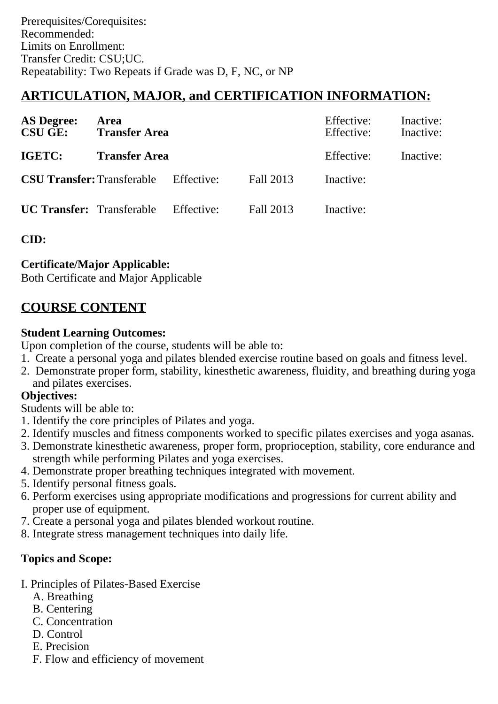# **ARTICULATION, MAJOR, and CERTIFICATION INFORMATION:**

| <b>AS Degree:</b><br><b>CSU GE:</b> | <b>Area</b><br><b>Transfer Area</b>          |  |           | Effective:<br>Effective: | Inactive:<br>Inactive: |
|-------------------------------------|----------------------------------------------|--|-----------|--------------------------|------------------------|
| <b>IGETC:</b>                       | <b>Transfer Area</b>                         |  |           | Effective:               | Inactive:              |
|                                     | <b>CSU Transfer:</b> Transferable Effective: |  | Fall 2013 | Inactive:                |                        |
|                                     | <b>UC Transfer:</b> Transferable Effective:  |  | Fall 2013 | Inactive:                |                        |

**CID:**

## **Certificate/Major Applicable:**

[Both Certificate and Major Applicable](SR_ClassCheck.aspx?CourseKey=KFIT31.1)

## **COURSE CONTENT**

## **Student Learning Outcomes:**

Upon completion of the course, students will be able to:

- 1. Create a personal yoga and pilates blended exercise routine based on goals and fitness level.
- 2. Demonstrate proper form, stability, kinesthetic awareness, fluidity, and breathing during yoga and pilates exercises.

## **Objectives:**

Students will be able to:

- 1. Identify the core principles of Pilates and yoga.
- 2. Identify muscles and fitness components worked to specific pilates exercises and yoga asanas.
- 3. Demonstrate kinesthetic awareness, proper form, proprioception, stability, core endurance and strength while performing Pilates and yoga exercises.
- 4. Demonstrate proper breathing techniques integrated with movement.
- 5. Identify personal fitness goals.
- 6. Perform exercises using appropriate modifications and progressions for current ability and proper use of equipment.
- 7. Create a personal yoga and pilates blended workout routine.
- 8. Integrate stress management techniques into daily life.

## **Topics and Scope:**

- I. Principles of Pilates-Based Exercise
	- A. Breathing
	- B. Centering
	- C. Concentration
	- D. Control
	- E. Precision
	- F. Flow and efficiency of movement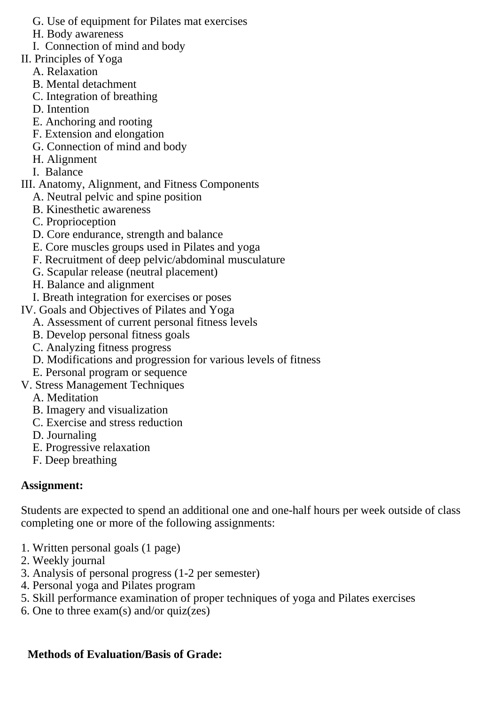- G. Use of equipment for Pilates mat exercises
- H. Body awareness
- I. Connection of mind and body
- II. Principles of Yoga
	- A. Relaxation
	- B. Mental detachment
	- C. Integration of breathing
	- D. Intention
	- E. Anchoring and rooting
	- F. Extension and elongation
	- G. Connection of mind and body
	- H. Alignment
	- I. Balance
- III. Anatomy, Alignment, and Fitness Components
	- A. Neutral pelvic and spine position
	- B. Kinesthetic awareness
	- C. Proprioception
	- D. Core endurance, strength and balance
	- E. Core muscles groups used in Pilates and yoga
	- F. Recruitment of deep pelvic/abdominal musculature
	- G. Scapular release (neutral placement)
	- H. Balance and alignment
	- I. Breath integration for exercises or poses
- IV. Goals and Objectives of Pilates and Yoga
	- A. Assessment of current personal fitness levels
	- B. Develop personal fitness goals
	- C. Analyzing fitness progress
	- D. Modifications and progression for various levels of fitness
	- E. Personal program or sequence
- V. Stress Management Techniques
	- A. Meditation
	- B. Imagery and visualization
	- C. Exercise and stress reduction
	- D. Journaling
	- E. Progressive relaxation
	- F. Deep breathing

## **Assignment:**

Students are expected to spend an additional one and one-half hours per week outside of class completing one or more of the following assignments:

- 1. Written personal goals (1 page)
- 2. Weekly journal
- 3. Analysis of personal progress (1-2 per semester)
- 4. Personal yoga and Pilates program
- 5. Skill performance examination of proper techniques of yoga and Pilates exercises
- 6. One to three exam(s) and/or quiz(zes)

# **Methods of Evaluation/Basis of Grade:**